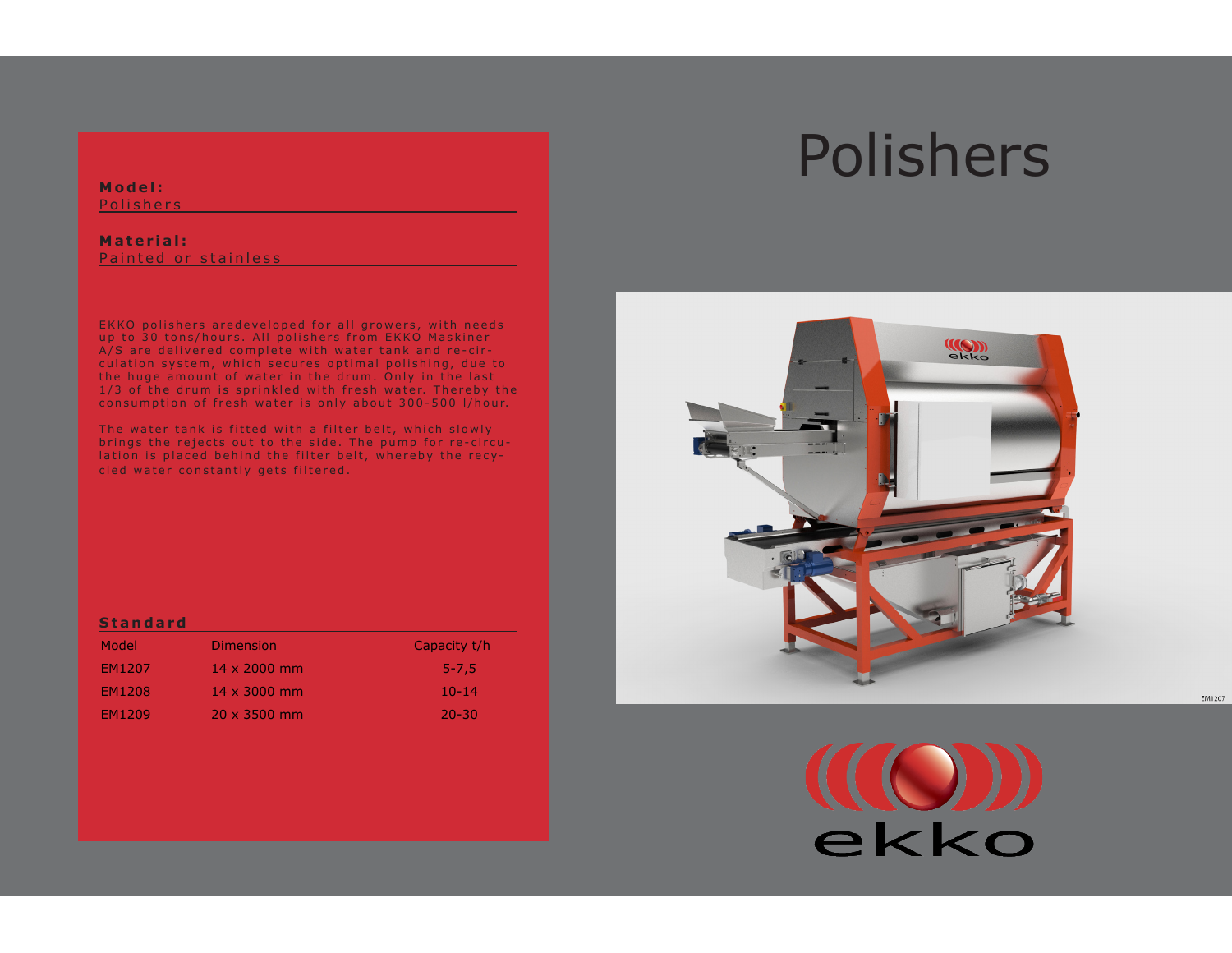### **Model:**

**Polishers** 

### **Material:** Painted or stainless

EKKO polishers aredeveloped for all growers, with needs up to 30 tons/hours. All polishers from EKKO Maskiner A/S are delivered complete with water tank and re-circulation system, which secures optimal polishing, due to the huge amount of water in the drum. Only in the last 1/3 of the drum is sprinkled with fresh water. Thereby the consumption of fresh water is only about 300-500 l/hour.

The water tank is fitted with a filter belt, which slowly brings the rejects out to the side. The pump for re-circulation is placed behind the filter belt, whereby the recycled water constantly gets filtered.

### **Standard**

| Model         | <b>Dimension</b>    | Capacity t/h |
|---------------|---------------------|--------------|
| EM1207        | $14 \times 2000$ mm | $5 - 7.5$    |
| EM1208        | $14 \times 3000$ mm | $10 - 14$    |
| <b>FM1209</b> | $20 \times 3500$ mm | $20 - 30$    |

# Polishers